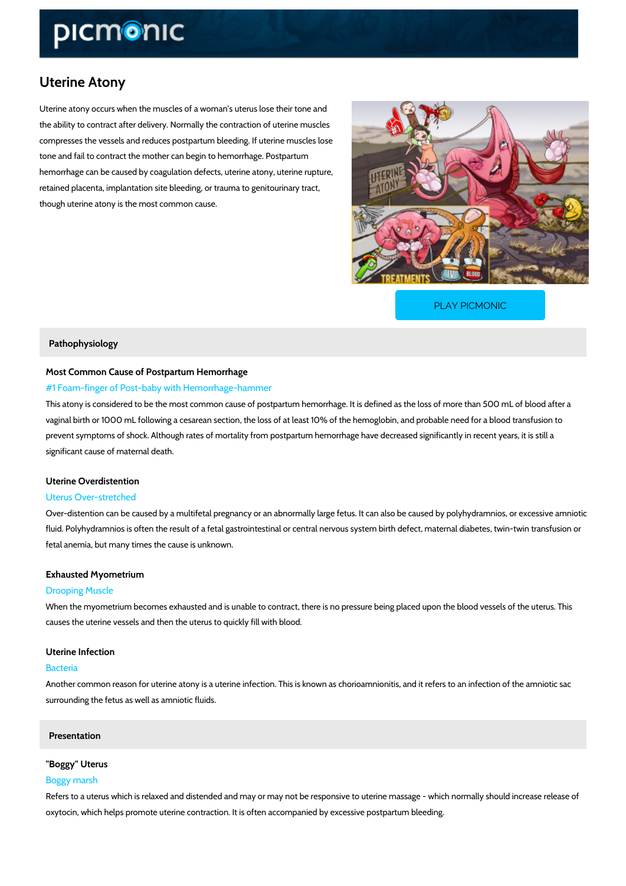# Uterine Atony

Uterine atony occurs when the muscles of a woman s uterus lose their tone and the ability to contract after delivery. Normally the contraction of uterine muscles compresses the vessels and reduces postpartum bleeding. If uterine muscles lose tone and fail to contract the mother can begin to hemorrhage. Postpartum hemorrhage can be caused by coagulation defects, uterine atony, uterine rupture, retained placenta, implantation site bleeding, or trauma to genitourinary tract, though uterine atony is the most common cause.

[PLAY PICMONIC](https://www.picmonic.com/learn/uterine-atony_2401?utm_source=downloadable_content&utm_medium=distributedcontent&utm_campaign=pathways_pdf&utm_content=Uterine Atony&utm_ad_group=leads&utm_market=all)

# Pathophysiology

# Most Common Cause of Postpartum Hemorrhage

# #1 Foam-finger of Post-baby with Hemorrhage-hammer

This atony is considered to be the most common cause of postpartum hemorrhage. It is define vaginal birth or 1000 mL following a cesarean section, the loss of at least 10% of the hemoglo prevent symptoms of shock. Although rates of mortality from postpartum hemorrhage have dec significant cause of maternal death.

# Uterine Overdistention

# Uterus Over-stretched

Over-distention can be caused by a multifetal pregnancy or an abnormally large fetus. It can a fluid. Polyhydramnios is often the result of a fetal gastrointestinal or central nervous system fetal anemia, but many times the cause is unknown.

### Exhausted Myometrium

# Drooping Muscle

When the myometrium becomes exhausted and is unable to contract, there is no pressure bein causes the uterine vessels and then the uterus to quickly fill with blood.

#### Uterine Infection

### Bacteria

Another common reason for uterine atony is a uterine infection. This is known as chorioamnio surrounding the fetus as well as amniotic fluids.

# Presentation

#### "Boggy" Uterus

### Boggy marsh

Refers to a uterus which is relaxed and distended and may or may not be responsive to uterin oxytocin, which helps promote uterine contraction. It is often accompanied by excessive postp